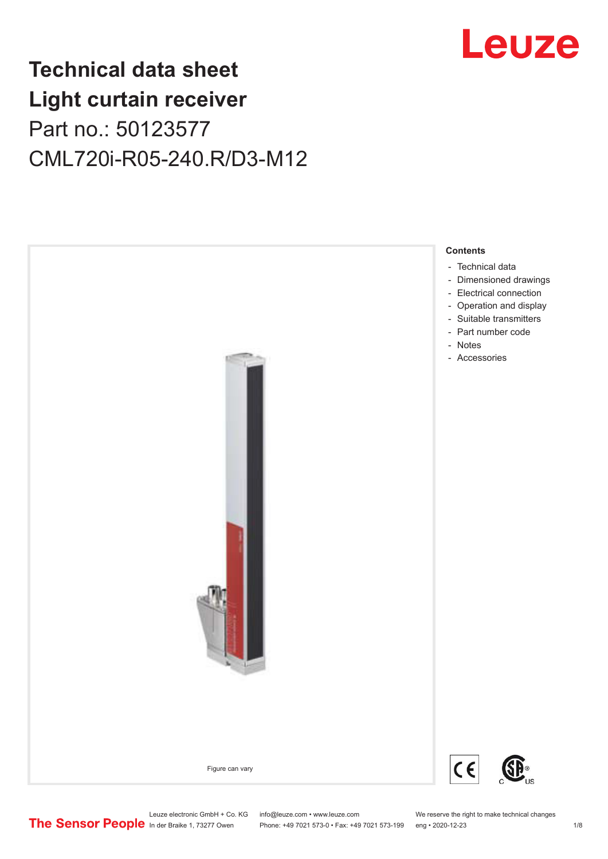

## **Technical data sheet Light curtain receiver** Part no.: 50123577 CML720i-R05-240.R/D3-M12



Leuze electronic GmbH + Co. KG info@leuze.com • www.leuze.com We reserve the right to make technical changes<br>
The Sensor People in der Braike 1, 73277 Owen Phone: +49 7021 573-0 • Fax: +49 7021 573-199 eng • 2020-12-23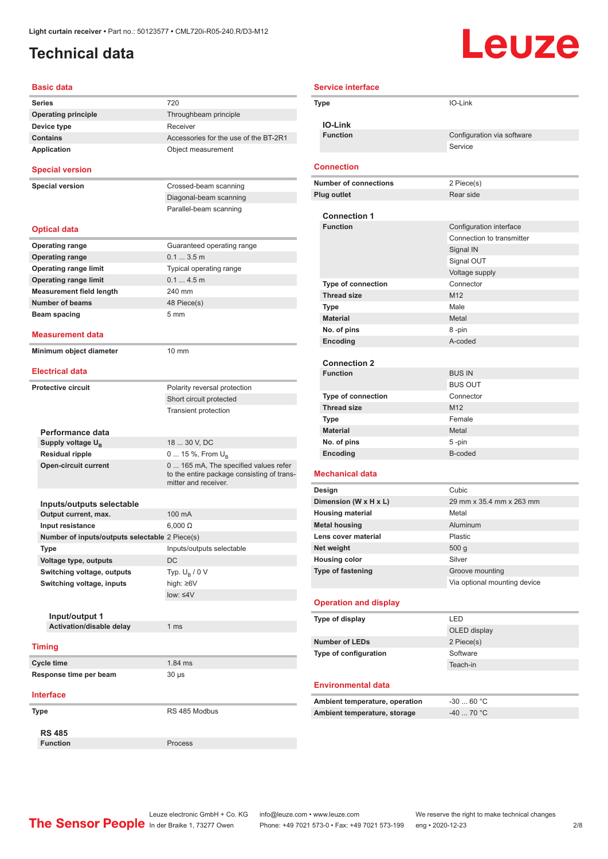### <span id="page-1-0"></span>**Technical data**

# Leuze

| <b>Basic data</b>                                 |                                                                                                             |
|---------------------------------------------------|-------------------------------------------------------------------------------------------------------------|
| Series                                            | 720                                                                                                         |
| <b>Operating principle</b>                        | Throughbeam principle                                                                                       |
| Device type                                       | Receiver                                                                                                    |
| <b>Contains</b>                                   | Accessories for the use of the BT-2R1                                                                       |
| <b>Application</b>                                | Object measurement                                                                                          |
| <b>Special version</b>                            |                                                                                                             |
| <b>Special version</b>                            | Crossed-beam scanning                                                                                       |
|                                                   | Diagonal-beam scanning                                                                                      |
|                                                   | Parallel-beam scanning                                                                                      |
| <b>Optical data</b>                               |                                                                                                             |
| <b>Operating range</b>                            | Guaranteed operating range                                                                                  |
| <b>Operating range</b>                            | 0.13.5m                                                                                                     |
| <b>Operating range limit</b>                      | Typical operating range                                                                                     |
| <b>Operating range limit</b>                      | 0.14.5m                                                                                                     |
| <b>Measurement field length</b>                   | 240 mm                                                                                                      |
| <b>Number of beams</b>                            | 48 Piece(s)                                                                                                 |
| <b>Beam spacing</b>                               | 5 <sub>mm</sub>                                                                                             |
| Measurement data                                  |                                                                                                             |
| Minimum object diameter                           | $10 \text{ mm}$                                                                                             |
| <b>Electrical data</b>                            |                                                                                                             |
| <b>Protective circuit</b>                         | Polarity reversal protection                                                                                |
|                                                   | Short circuit protected                                                                                     |
|                                                   | <b>Transient protection</b>                                                                                 |
|                                                   |                                                                                                             |
| Performance data                                  |                                                                                                             |
| Supply voltage U <sub>B</sub>                     | 18  30 V, DC                                                                                                |
| <b>Residual ripple</b>                            | 0  15 %, From $U_{\rm B}$                                                                                   |
| <b>Open-circuit current</b>                       | 0  165 mA, The specified values refer<br>to the entire package consisting of trans-<br>mitter and receiver. |
|                                                   |                                                                                                             |
| Inputs/outputs selectable<br>Output current, max. | 100 mA                                                                                                      |
| Input resistance                                  | $6,000 \Omega$                                                                                              |
| Number of inputs/outputs selectable 2 Piece(s)    |                                                                                                             |
| Type                                              | Inputs/outputs selectable                                                                                   |
| Voltage type, outputs                             | DC                                                                                                          |
| Switching voltage, outputs                        | Typ. $U_{\rm B}$ / 0 V                                                                                      |
| Switching voltage, inputs                         | high: ≥6V                                                                                                   |
|                                                   | $low: \leq 4V$                                                                                              |
|                                                   |                                                                                                             |
| Input/output 1                                    |                                                                                                             |
| Activation/disable delay                          | 1 <sub>ms</sub>                                                                                             |
|                                                   |                                                                                                             |
| <b>Timing</b>                                     |                                                                                                             |
| <b>Cycle time</b>                                 | 1.84 ms                                                                                                     |
| Response time per beam                            | 30 µs                                                                                                       |
| <b>Interface</b>                                  |                                                                                                             |
| Type                                              | RS 485 Modbus                                                                                               |
| <b>RS 485</b>                                     |                                                                                                             |
| <b>Function</b>                                   | Process                                                                                                     |

| <b>Service interface</b>                                       |                                                      |
|----------------------------------------------------------------|------------------------------------------------------|
| Type                                                           | IO-Link                                              |
|                                                                |                                                      |
| <b>IO-Link</b>                                                 |                                                      |
| <b>Function</b>                                                | Configuration via software                           |
|                                                                | Service                                              |
|                                                                |                                                      |
| <b>Connection</b>                                              |                                                      |
| <b>Number of connections</b>                                   | 2 Piece(s)                                           |
| <b>Plug outlet</b>                                             | Rear side                                            |
|                                                                |                                                      |
| <b>Connection 1</b><br><b>Function</b>                         |                                                      |
|                                                                | Configuration interface<br>Connection to transmitter |
|                                                                |                                                      |
|                                                                | Signal IN                                            |
|                                                                | Signal OUT<br>Voltage supply                         |
| <b>Type of connection</b>                                      | Connector                                            |
| <b>Thread size</b>                                             | M <sub>12</sub>                                      |
| Type                                                           | Male                                                 |
| <b>Material</b>                                                | Metal                                                |
| No. of pins                                                    | 8-pin                                                |
| Encoding                                                       | A-coded                                              |
|                                                                |                                                      |
| <b>Connection 2</b>                                            |                                                      |
| <b>Function</b>                                                | <b>BUS IN</b>                                        |
|                                                                | <b>BUS OUT</b>                                       |
| <b>Type of connection</b>                                      | Connector                                            |
| <b>Thread size</b>                                             | M <sub>12</sub>                                      |
| Type                                                           | Female                                               |
| <b>Material</b>                                                | Metal                                                |
| No. of pins                                                    | 5-pin                                                |
| Encoding                                                       | B-coded                                              |
| <b>Mechanical data</b>                                         |                                                      |
|                                                                |                                                      |
| Design                                                         | Cubic                                                |
| Dimension (W x H x L)                                          | 29 mm x 35.4 mm x 263 mm                             |
| <b>Housing material</b>                                        | Metal                                                |
| <b>Metal housing</b>                                           | Aluminum                                             |
| Lens cover material                                            | Plastic                                              |
| Net weight                                                     | 500 <sub>g</sub>                                     |
| <b>Housing color</b><br>Type of fastening                      | Silver                                               |
|                                                                | Groove mounting                                      |
|                                                                | Via optional mounting device                         |
| <b>Operation and display</b>                                   |                                                      |
|                                                                | <b>LED</b>                                           |
| Type of display                                                | OLED display                                         |
| <b>Number of LEDs</b>                                          |                                                      |
| Type of configuration                                          | 2 Piece(s)<br>Software                               |
|                                                                | Teach-in                                             |
|                                                                |                                                      |
| <b>Environmental data</b>                                      |                                                      |
|                                                                | $-3060 °C$                                           |
| Ambient temperature, operation<br>Ambient temperature, storage | $-4070 °C$                                           |
|                                                                |                                                      |
|                                                                |                                                      |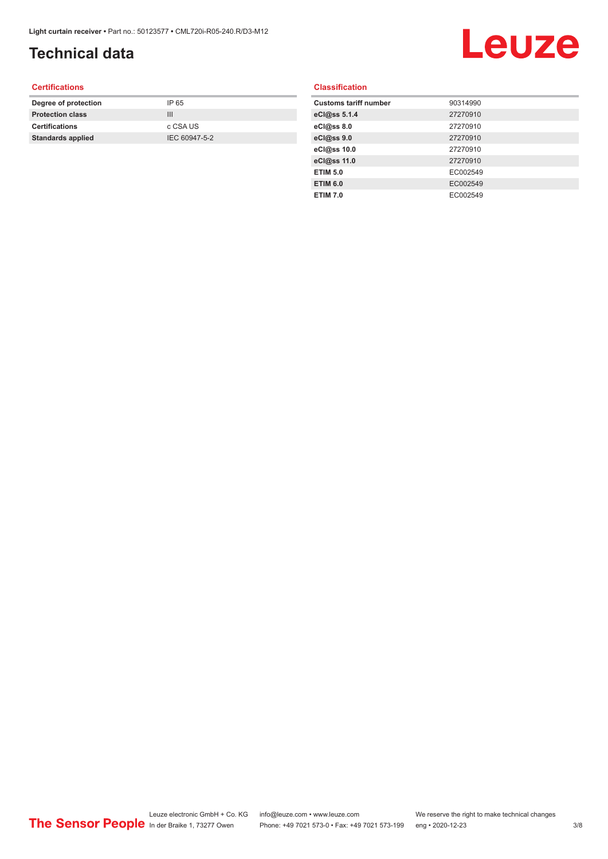## **Technical data**

## Leuze

#### **Certifications**

| Degree of protection     | IP 65         |
|--------------------------|---------------|
| <b>Protection class</b>  | Ш             |
| <b>Certifications</b>    | c CSA US      |
| <b>Standards applied</b> | IEC 60947-5-2 |
|                          |               |

#### **Classification**

| <b>Customs tariff number</b> | 90314990 |
|------------------------------|----------|
| eCl@ss 5.1.4                 | 27270910 |
| eCl@ss 8.0                   | 27270910 |
| eCl@ss 9.0                   | 27270910 |
| eCl@ss 10.0                  | 27270910 |
| eCl@ss 11.0                  | 27270910 |
| <b>ETIM 5.0</b>              | EC002549 |
| <b>ETIM 6.0</b>              | EC002549 |
| <b>ETIM 7.0</b>              | EC002549 |
|                              |          |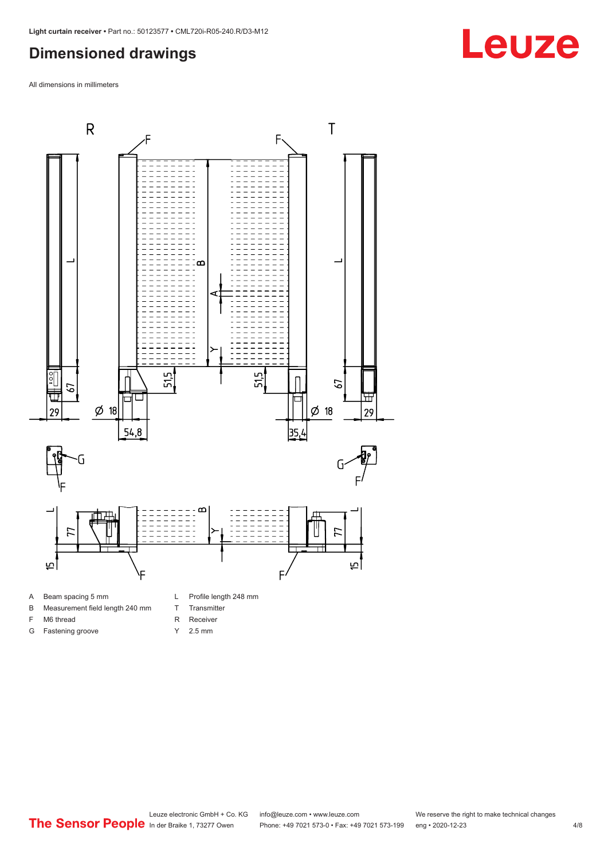#### <span id="page-3-0"></span>**Dimensioned drawings**

All dimensions in millimeters



B Measurement field length 240 mm

F M6 thread G Fastening groove

- T Transmitter
- R Receiver
- 
- Y 2.5 mm

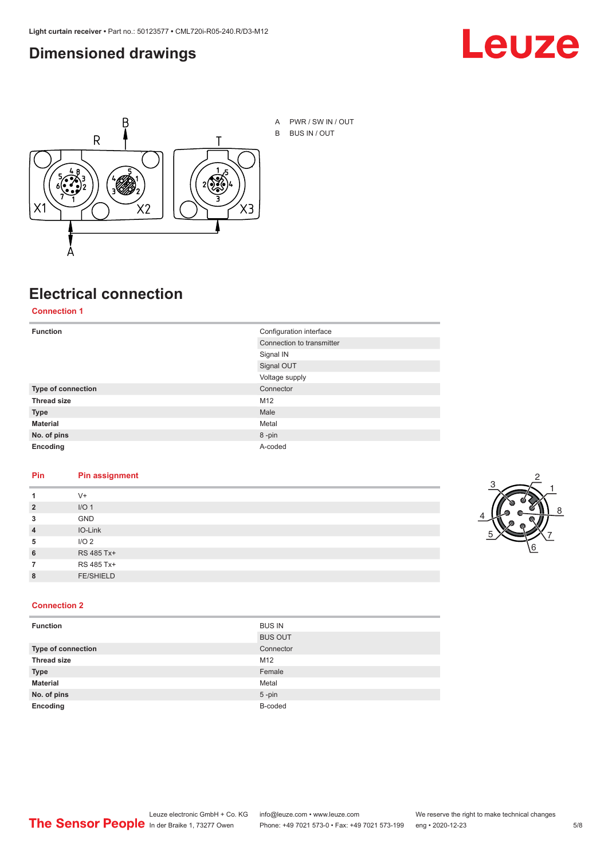#### <span id="page-4-0"></span>**Dimensioned drawings**





A PWR / SW IN / OUT B BUS IN / OUT

## **Electrical connection**

#### **Connection 1**

| <b>Function</b>    | Configuration interface   |
|--------------------|---------------------------|
|                    | Connection to transmitter |
|                    | Signal IN                 |
|                    | Signal OUT                |
|                    | Voltage supply            |
| Type of connection | Connector                 |
| <b>Thread size</b> | M12                       |
| <b>Type</b>        | Male                      |
| <b>Material</b>    | Metal                     |
| No. of pins        | 8-pin                     |
| Encoding           | A-coded                   |

#### **Pin Pin assignment**

|                | $V +$            |  |  |
|----------------|------------------|--|--|
| $\overline{2}$ | I/O <sub>1</sub> |  |  |
| 3              | <b>GND</b>       |  |  |
| $\overline{4}$ | IO-Link          |  |  |
| 5              | I/O <sub>2</sub> |  |  |
| 6              | RS 485 Tx+       |  |  |
|                | RS 485 Tx+       |  |  |
| 8              | <b>FE/SHIELD</b> |  |  |
|                |                  |  |  |



#### **Connection 2**

| <b>Function</b>    | <b>BUS IN</b>  |
|--------------------|----------------|
|                    | <b>BUS OUT</b> |
| Type of connection | Connector      |
| <b>Thread size</b> | M12            |
| <b>Type</b>        | Female         |
| <b>Material</b>    | Metal          |
| No. of pins        | $5$ -pin       |
| Encoding           | B-coded        |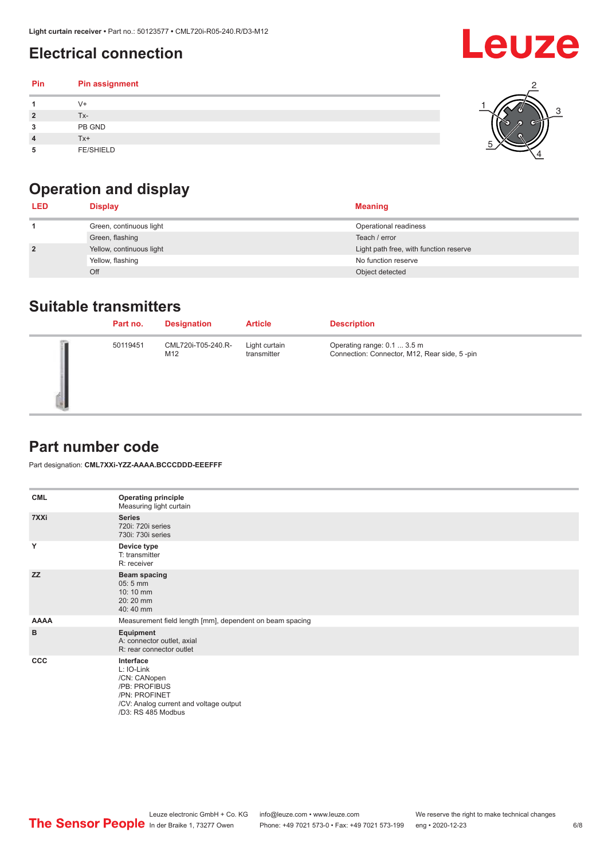## <span id="page-5-0"></span>**Electrical connection**

#### **Pin Pin assignment 1** V+ **2** Tx-**3** PB GND **4** Tx+ **5** FE/SHIELD 3 2 1 5 4



| <b>LED</b>     | <b>Display</b>           | <b>Meaning</b>                         |
|----------------|--------------------------|----------------------------------------|
|                | Green, continuous light  | Operational readiness                  |
|                | Green, flashing          | Teach / error                          |
| $\overline{2}$ | Yellow, continuous light | Light path free, with function reserve |
|                | Yellow, flashing         | No function reserve                    |
|                | Off                      | Object detected                        |

#### **Suitable transmitters**

| Part no. | <b>Designation</b>        | <b>Article</b>               | <b>Description</b>                                                          |
|----------|---------------------------|------------------------------|-----------------------------------------------------------------------------|
| 50119451 | CML720i-T05-240.R-<br>M12 | Light curtain<br>transmitter | Operating range: 0.1  3.5 m<br>Connection: Connector, M12, Rear side, 5-pin |

### **Part number code**

Part designation: **CML7XXi-YZZ-AAAA.BCCCDDD-EEEFFF**

| <b>CML</b>  | <b>Operating principle</b><br>Measuring light curtain                                                                                     |
|-------------|-------------------------------------------------------------------------------------------------------------------------------------------|
| 7XXi        | <b>Series</b><br>720i: 720i series<br>730i: 730i series                                                                                   |
| Y           | Device type<br>T: transmitter<br>R: receiver                                                                                              |
| <b>ZZ</b>   | <b>Beam spacing</b><br>$05:5$ mm<br>10:10 mm<br>20:20 mm<br>40:40 mm                                                                      |
| <b>AAAA</b> | Measurement field length [mm], dependent on beam spacing                                                                                  |
| в           | Equipment<br>A: connector outlet, axial<br>R: rear connector outlet                                                                       |
| <b>CCC</b>  | Interface<br>L: IO-Link<br>/CN: CANopen<br>/PB: PROFIBUS<br>/PN: PROFINET<br>/CV: Analog current and voltage output<br>/D3: RS 485 Modbus |

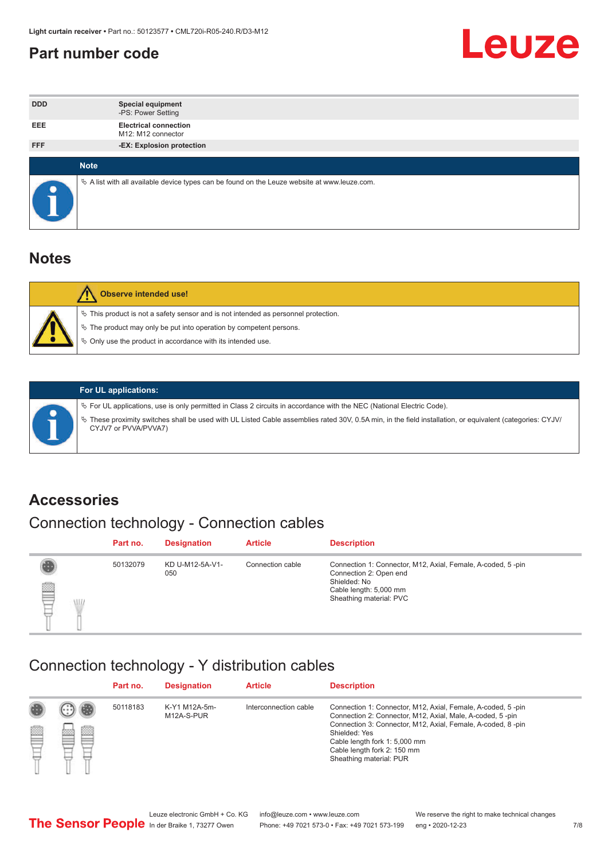#### <span id="page-6-0"></span>**Part number code**



| <b>DDD</b>  | <b>Special equipment</b><br>-PS: Power Setting                                                  |
|-------------|-------------------------------------------------------------------------------------------------|
| <b>EEE</b>  | <b>Electrical connection</b><br>M12: M12 connector                                              |
| <b>FFF</b>  | -EX: Explosion protection                                                                       |
|             |                                                                                                 |
| <b>Note</b> |                                                                                                 |
|             | $\&$ A list with all available device types can be found on the Leuze website at www.leuze.com. |

#### **Notes**

| Observe intended use!                                                                                                                                                                                                            |
|----------------------------------------------------------------------------------------------------------------------------------------------------------------------------------------------------------------------------------|
| $\%$ This product is not a safety sensor and is not intended as personnel protection.<br>$\%$ The product may only be put into operation by competent persons.<br>$\%$ Only use the product in accordance with its intended use. |
|                                                                                                                                                                                                                                  |



#### **For UL applications:**

ª For UL applications, use is only permitted in Class 2 circuits in accordance with the NEC (National Electric Code). ª These proximity switches shall be used with UL Listed Cable assemblies rated 30V, 0.5A min, in the field installation, or equivalent (categories: CYJV/ CYJV7 or PVVA/PVVA7)

#### **Accessories**

## Connection technology - Connection cables

|        | Part no. | <b>Designation</b>     | <b>Article</b>   | <b>Description</b>                                                                                                                                         |
|--------|----------|------------------------|------------------|------------------------------------------------------------------------------------------------------------------------------------------------------------|
| 2<br>W | 50132079 | KD U-M12-5A-V1-<br>050 | Connection cable | Connection 1: Connector, M12, Axial, Female, A-coded, 5-pin<br>Connection 2: Open end<br>Shielded: No<br>Cable length: 5,000 mm<br>Sheathing material: PVC |

#### Connection technology - Y distribution cables

|             |   | Part no. | <b>Designation</b>          | <b>Article</b>        | <b>Description</b>                                                                                                                                                                                                                                                                                  |
|-------------|---|----------|-----------------------------|-----------------------|-----------------------------------------------------------------------------------------------------------------------------------------------------------------------------------------------------------------------------------------------------------------------------------------------------|
| 圔<br>⋿<br>٣ | ø | 50118183 | K-Y1 M12A-5m-<br>M12A-S-PUR | Interconnection cable | Connection 1: Connector, M12, Axial, Female, A-coded, 5-pin<br>Connection 2: Connector, M12, Axial, Male, A-coded, 5-pin<br>Connection 3: Connector, M12, Axial, Female, A-coded, 8-pin<br>Shielded: Yes<br>Cable length fork 1: 5,000 mm<br>Cable length fork 2: 150 mm<br>Sheathing material: PUR |